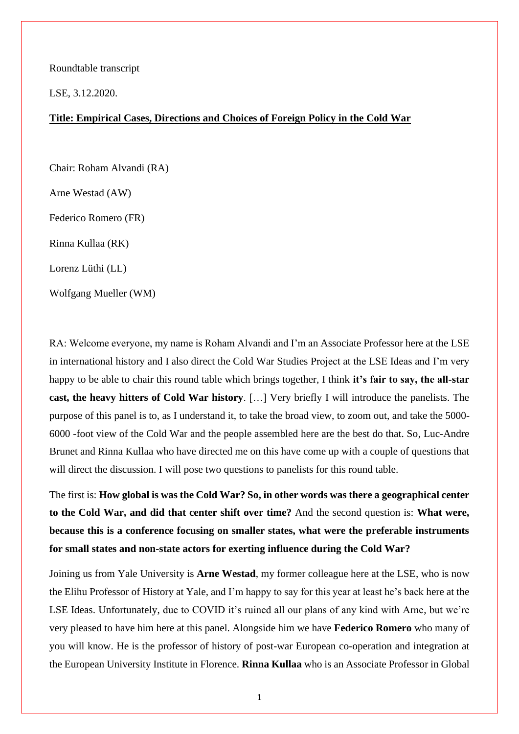Roundtable transcript

LSE, 3.12.2020.

## **Title: Empirical Cases, Directions and Choices of Foreign Policy in the Cold War**

Chair: Roham Alvandi (RA)

Arne Westad (AW)

Federico Romero (FR)

Rinna Kullaa (RK)

Lorenz Lüthi (LL)

Wolfgang Mueller (WM)

RA: Welcome everyone, my name is Roham Alvandi and I'm an Associate Professor here at the LSE in international history and I also direct the Cold War Studies Project at the LSE Ideas and I'm very happy to be able to chair this round table which brings together, I think **it's fair to say, the all-star cast, the heavy hitters of Cold War history**. […] Very briefly I will introduce the panelists. The purpose of this panel is to, as I understand it, to take the broad view, to zoom out, and take the 5000- 6000 -foot view of the Cold War and the people assembled here are the best do that. So, Luc-Andre Brunet and Rinna Kullaa who have directed me on this have come up with a couple of questions that will direct the discussion. I will pose two questions to panelists for this round table.

The first is: **How global is was the Cold War? So, in other words was there a geographical center to the Cold War, and did that center shift over time?** And the second question is: **What were, because this is a conference focusing on smaller states, what were the preferable instruments for small states and non-state actors for exerting influence during the Cold War?**

Joining us from Yale University is **Arne Westad**, my former colleague here at the LSE, who is now the Elihu Professor of History at Yale, and I'm happy to say for this year at least he's back here at the LSE Ideas. Unfortunately, due to COVID it's ruined all our plans of any kind with Arne, but we're very pleased to have him here at this panel. Alongside him we have **Federico Romero** who many of you will know. He is the professor of history of post-war European co-operation and integration at the European University Institute in Florence. **Rinna Kullaa** who is an Associate Professor in Global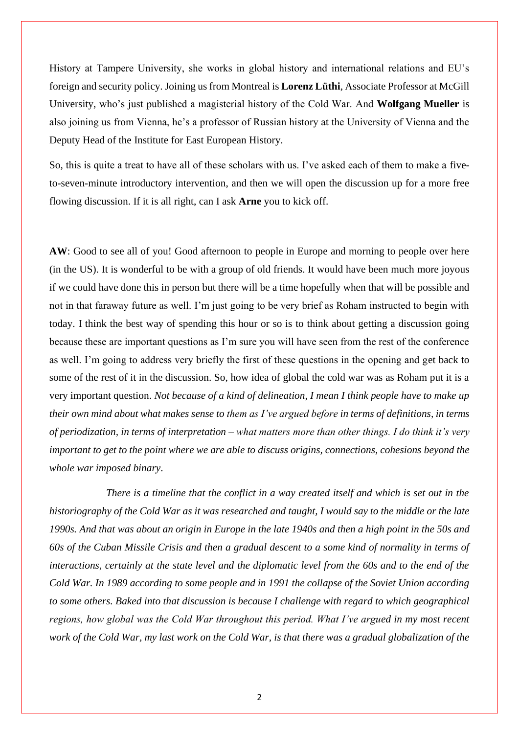History at Tampere University, she works in global history and international relations and EU's foreign and security policy. Joining us from Montreal is **Lorenz Lüthi**, Associate Professor at McGill University, who's just published a magisterial history of the Cold War. And **Wolfgang Mueller** is also joining us from Vienna, he's a professor of Russian history at the University of Vienna and the Deputy Head of the Institute for East European History.

So, this is quite a treat to have all of these scholars with us. I've asked each of them to make a fiveto-seven-minute introductory intervention, and then we will open the discussion up for a more free flowing discussion. If it is all right, can I ask **Arne** you to kick off.

AW: Good to see all of you! Good afternoon to people in Europe and morning to people over here (in the US). It is wonderful to be with a group of old friends. It would have been much more joyous if we could have done this in person but there will be a time hopefully when that will be possible and not in that faraway future as well. I'm just going to be very brief as Roham instructed to begin with today. I think the best way of spending this hour or so is to think about getting a discussion going because these are important questions as I'm sure you will have seen from the rest of the conference as well. I'm going to address very briefly the first of these questions in the opening and get back to some of the rest of it in the discussion. So, how idea of global the cold war was as Roham put it is a very important question. *Not because of a kind of delineation, I mean I think people have to make up their own mind about what makes sense to them as I've argued before in terms of definitions, in terms of periodization, in terms of interpretation – what matters more than other things. I do think it's very important to get to the point where we are able to discuss origins, connections, cohesions beyond the whole war imposed binary*.

*There is a timeline that the conflict in a way created itself and which is set out in the historiography of the Cold War as it was researched and taught, I would say to the middle or the late 1990s. And that was about an origin in Europe in the late 1940s and then a high point in the 50s and 60s of the Cuban Missile Crisis and then a gradual descent to a some kind of normality in terms of interactions, certainly at the state level and the diplomatic level from the 60s and to the end of the Cold War. In 1989 according to some people and in 1991 the collapse of the Soviet Union according to some others. Baked into that discussion is because I challenge with regard to which geographical regions, how global was the Cold War throughout this period. What I've argued in my most recent work of the Cold War, my last work on the Cold War, is that there was a gradual globalization of the*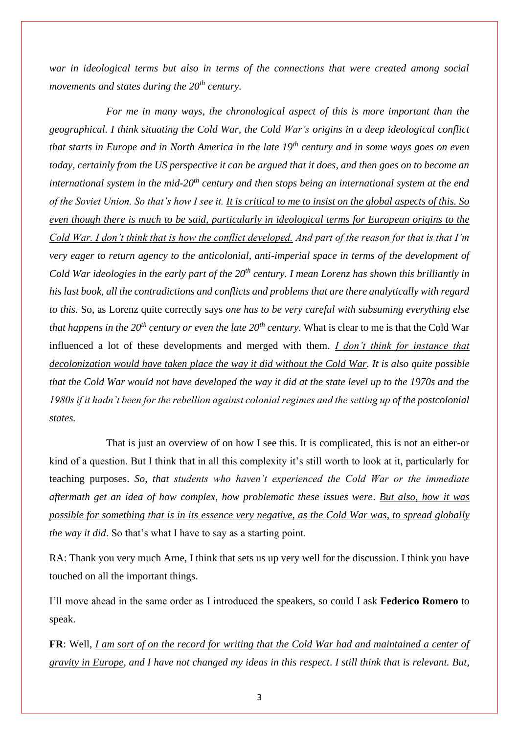*war in ideological terms but also in terms of the connections that were created among social movements and states during the 20th century.* 

*For me in many ways, the chronological aspect of this is more important than the geographical. I think situating the Cold War, the Cold War's origins in a deep ideological conflict that starts in Europe and in North America in the late 19th century and in some ways goes on even today, certainly from the US perspective it can be argued that it does, and then goes on to become an international system in the mid-20th century and then stops being an international system at the end of the Soviet Union. So that's how I see it. It is critical to me to insist on the global aspects of this. So even though there is much to be said, particularly in ideological terms for European origins to the Cold War. I don't think that is how the conflict developed. And part of the reason for that is that I'm very eager to return agency to the anticolonial, anti-imperial space in terms of the development of Cold War ideologies in the early part of the 20th century. I mean Lorenz has shown this brilliantly in his last book, all the contradictions and conflicts and problems that are there analytically with regard to this.* So, as Lorenz quite correctly says *one has to be very careful with subsuming everything else that happens in the 20th century or even the late 20th century.* What is clear to me is that the Cold War influenced a lot of these developments and merged with them. *I don't think for instance that decolonization would have taken place the way it did without the Cold War. It is also quite possible that the Cold War would not have developed the way it did at the state level up to the 1970s and the 1980s if it hadn't been for the rebellion against colonial regimes and the setting up of the postcolonial states.*

That is just an overview of on how I see this. It is complicated, this is not an either-or kind of a question. But I think that in all this complexity it's still worth to look at it, particularly for teaching purposes. *So, that students who haven't experienced the Cold War or the immediate aftermath get an idea of how complex, how problematic these issues were*. *But also, how it was possible for something that is in its essence very negative, as the Cold War was, to spread globally the way it did*. So that's what I have to say as a starting point.

RA: Thank you very much Arne, I think that sets us up very well for the discussion. I think you have touched on all the important things.

I'll move ahead in the same order as I introduced the speakers, so could I ask **Federico Romero** to speak.

**FR**: Well, *I am sort of on the record for writing that the Cold War had and maintained a center of gravity in Europe*, *and I have not changed my ideas in this respect*. *I still think that is relevant. But,*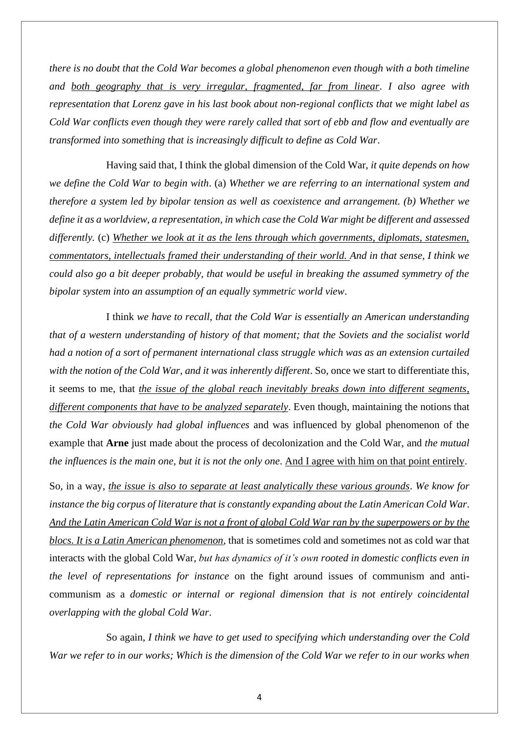*there is no doubt that the Cold War becomes a global phenomenon even though with a both timeline and both geography that is very irregular, fragmented, far from linear*. *I also agree with representation that Lorenz gave in his last book about non-regional conflicts that we might label as Cold War conflicts even though they were rarely called that sort of ebb and flow and eventually are transformed into something that is increasingly difficult to define as Cold War*.

Having said that, I think the global dimension of the Cold War, *it quite depends on how we define the Cold War to begin with*. (a) *Whether we are referring to an international system and therefore a system led by bipolar tension as well as coexistence and arrangement. (b) Whether we define it as a worldview, a representation, in which case the Cold War might be different and assessed differently.* (c) *Whether we look at it as the lens through which governments, diplomats, statesmen, commentators, intellectuals framed their understanding of their world. And in that sense, I think we could also go a bit deeper probably, that would be useful in breaking the assumed symmetry of the bipolar system into an assumption of an equally symmetric world view*.

I think *we have to recall, that the Cold War is essentially an American understanding that of a western understanding of history of that moment; that the Soviets and the socialist world had a notion of a sort of permanent international class struggle which was as an extension curtailed with the notion of the Cold War, and it was inherently different*. So, once we start to differentiate this, it seems to me, that *the issue of the global reach inevitably breaks down into different segments*, *different components that have to be analyzed separately*. Even though, maintaining the notions that *the Cold War obviously had global influences* and was influenced by global phenomenon of the example that **Arne** just made about the process of decolonization and the Cold War, and *the mutual the influences is the main one, but it is not the only one*. And I agree with him on that point entirely.

So, in a way, *the issue is also to separate at least analytically these various grounds*. *We know for instance the big corpus of literature that is constantly expanding about the Latin American Cold War*. *And the Latin American Cold War is not a front of global Cold War ran by the superpowers or by the blocs. It is a Latin American phenomenon*, that is sometimes cold and sometimes not as cold war that interacts with the global Cold War, *but has dynamics of it's own rooted in domestic conflicts even in the level of representations for instance* on the fight around issues of communism and anticommunism as a *domestic or internal or regional dimension that is not entirely coincidental overlapping with the global Cold War*.

So again, *I think we have to get used to specifying which understanding over the Cold War we refer to in our works; Which is the dimension of the Cold War we refer to in our works when*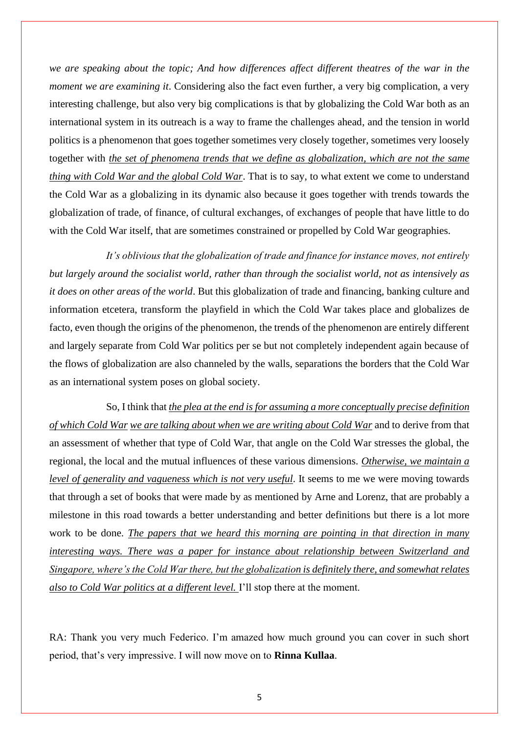*we are speaking about the topic; And how differences affect different theatres of the war in the moment we are examining it*. Considering also the fact even further, a very big complication, a very interesting challenge, but also very big complications is that by globalizing the Cold War both as an international system in its outreach is a way to frame the challenges ahead, and the tension in world politics is a phenomenon that goes together sometimes very closely together, sometimes very loosely together with *the set of phenomena trends that we define as globalization, which are not the same thing with Cold War and the global Cold War*. That is to say, to what extent we come to understand the Cold War as a globalizing in its dynamic also because it goes together with trends towards the globalization of trade, of finance, of cultural exchanges, of exchanges of people that have little to do with the Cold War itself, that are sometimes constrained or propelled by Cold War geographies.

*It's oblivious that the globalization of trade and finance for instance moves, not entirely but largely around the socialist world, rather than through the socialist world, not as intensively as it does on other areas of the world*. But this globalization of trade and financing, banking culture and information etcetera, transform the playfield in which the Cold War takes place and globalizes de facto, even though the origins of the phenomenon, the trends of the phenomenon are entirely different and largely separate from Cold War politics per se but not completely independent again because of the flows of globalization are also channeled by the walls, separations the borders that the Cold War as an international system poses on global society.

So, I think that *the plea at the end is for assuming a more conceptually precise definition of which Cold War we are talking about when we are writing about Cold War* and to derive from that an assessment of whether that type of Cold War, that angle on the Cold War stresses the global, the regional, the local and the mutual influences of these various dimensions. *Otherwise, we maintain a level of generality and vagueness which is not very useful*. It seems to me we were moving towards that through a set of books that were made by as mentioned by Arne and Lorenz, that are probably a milestone in this road towards a better understanding and better definitions but there is a lot more work to be done. *The papers that we heard this morning are pointing in that direction in many interesting ways. There was a paper for instance about relationship between Switzerland and Singapore, where's the Cold War there, but the globalization is definitely there, and somewhat relates also to Cold War politics at a different level.* I'll stop there at the moment.

RA: Thank you very much Federico. I'm amazed how much ground you can cover in such short period, that's very impressive. I will now move on to **Rinna Kullaa**.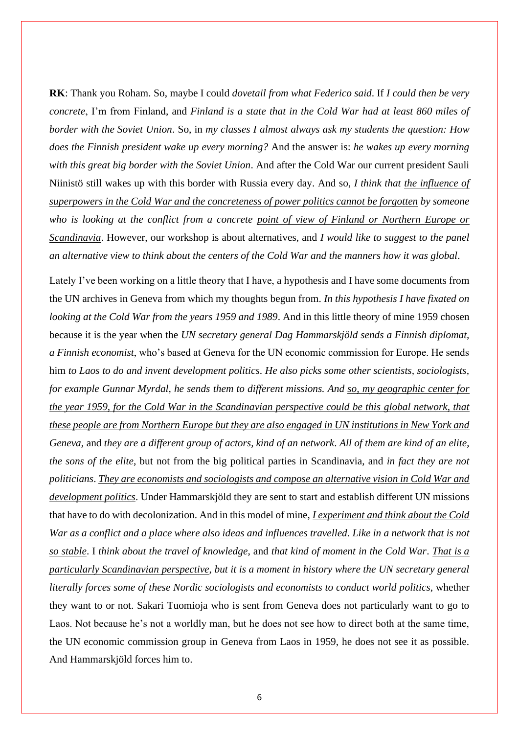**RK**: Thank you Roham. So, maybe I could *dovetail from what Federico said*. If *I could then be very concrete*, I'm from Finland, and *Finland is a state that in the Cold War had at least 860 miles of border with the Soviet Union*. So, in *my classes I almost always ask my students the question: How does the Finnish president wake up every morning?* And the answer is: *he wakes up every morning with this great big border with the Soviet Union*. And after the Cold War our current president Sauli Niinistö still wakes up with this border with Russia every day. And so, *I think that the influence of superpowers in the Cold War and the concreteness of power politics cannot be forgotten by someone who is looking at the conflict from a concrete point of view of Finland or Northern Europe or Scandinavia*. However, our workshop is about alternatives, and *I would like to suggest to the panel an alternative view to think about the centers of the Cold War and the manners how it was global*.

Lately I've been working on a little theory that I have, a hypothesis and I have some documents from the UN archives in Geneva from which my thoughts begun from. *In this hypothesis I have fixated on looking at the Cold War from the years 1959 and 1989*. And in this little theory of mine 1959 chosen because it is the year when the *UN secretary general Dag Hammarskjöld sends a Finnish diplomat, a Finnish economist*, who's based at Geneva for the UN economic commission for Europe. He sends him *to Laos to do and invent development politics*. *He also picks some other scientists, sociologists, for example Gunnar Myrdal, he sends them to different missions. And so, my geographic center for the year 1959, for the Cold War in the Scandinavian perspective could be this global network, that these people are from Northern Europe but they are also engaged in UN institutions in New York and Geneva,* and *they are a different group of actors, kind of an network*. *All of them are kind of an elite*, *the sons of the elite*, but not from the big political parties in Scandinavia, and *in fact they are not politicians*. *They are economists and sociologists and compose an alternative vision in Cold War and development politics*. Under Hammarskjöld they are sent to start and establish different UN missions that have to do with decolonization. And in this model of mine, *I experiment and think about the Cold War as a conflict and a place where also ideas and influences travelled. Like in a network that is not so stable*. I *think about the travel of knowledge*, and *that kind of moment in the Cold War*. *That is a particularly Scandinavian perspective*, *but it is a moment in history where the UN secretary general literally forces some of these Nordic sociologists and economists to conduct world politics*, whether they want to or not. Sakari Tuomioja who is sent from Geneva does not particularly want to go to Laos. Not because he's not a worldly man, but he does not see how to direct both at the same time, the UN economic commission group in Geneva from Laos in 1959, he does not see it as possible. And Hammarskjöld forces him to.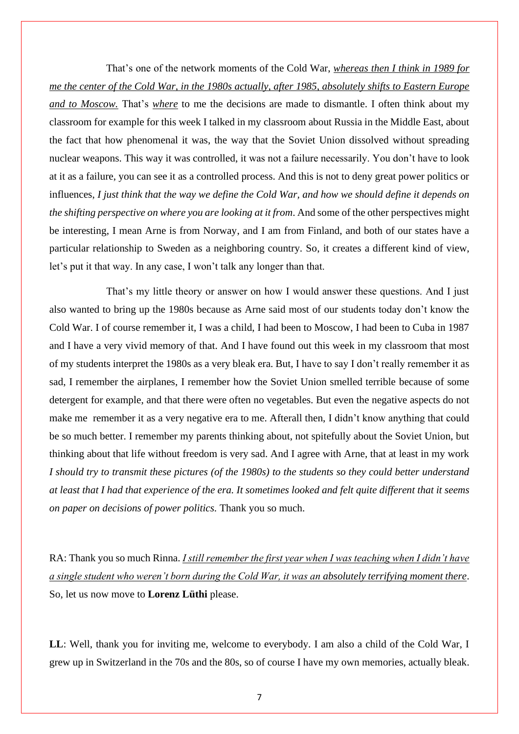That's one of the network moments of the Cold War, *whereas then I think in 1989 for me the center of the Cold War, in the 1980s actually, after 1985, absolutely shifts to Eastern Europe and to Moscow.* That's *where* to me the decisions are made to dismantle. I often think about my classroom for example for this week I talked in my classroom about Russia in the Middle East, about the fact that how phenomenal it was, the way that the Soviet Union dissolved without spreading nuclear weapons. This way it was controlled, it was not a failure necessarily. You don't have to look at it as a failure, you can see it as a controlled process. And this is not to deny great power politics or influences, *I just think that the way we define the Cold War, and how we should define it depends on the shifting perspective on where you are looking at it from*. And some of the other perspectives might be interesting, I mean Arne is from Norway, and I am from Finland, and both of our states have a particular relationship to Sweden as a neighboring country. So, it creates a different kind of view, let's put it that way. In any case, I won't talk any longer than that.

That's my little theory or answer on how I would answer these questions. And I just also wanted to bring up the 1980s because as Arne said most of our students today don't know the Cold War. I of course remember it, I was a child, I had been to Moscow, I had been to Cuba in 1987 and I have a very vivid memory of that. And I have found out this week in my classroom that most of my students interpret the 1980s as a very bleak era. But, I have to say I don't really remember it as sad, I remember the airplanes, I remember how the Soviet Union smelled terrible because of some detergent for example, and that there were often no vegetables. But even the negative aspects do not make me remember it as a very negative era to me. Afterall then, I didn't know anything that could be so much better. I remember my parents thinking about, not spitefully about the Soviet Union, but thinking about that life without freedom is very sad. And I agree with Arne, that at least in my work *I should try to transmit these pictures (of the 1980s) to the students so they could better understand at least that I had that experience of the era. It sometimes looked and felt quite different that it seems on paper on decisions of power politics.* Thank you so much.

RA: Thank you so much Rinna. *I still remember the first year when I was teaching when I didn't have a single student who weren't born during the Cold War, it was an absolutely terrifying moment there*. So, let us now move to **Lorenz Lüthi** please.

**LL**: Well, thank you for inviting me, welcome to everybody. I am also a child of the Cold War, I grew up in Switzerland in the 70s and the 80s, so of course I have my own memories, actually bleak.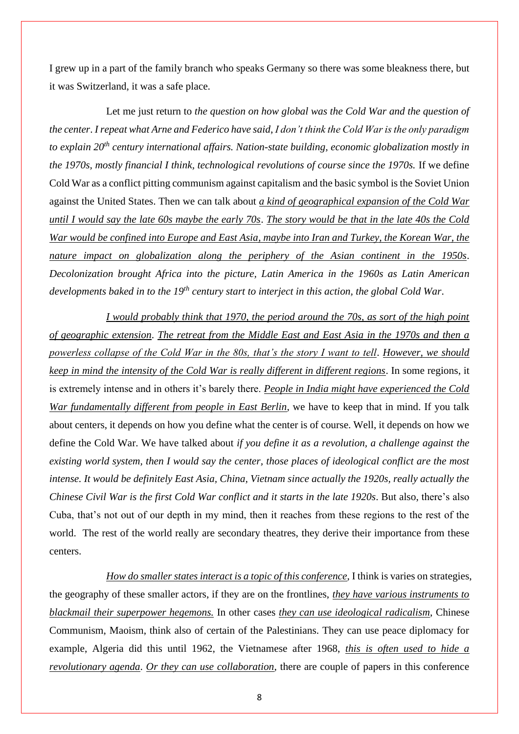I grew up in a part of the family branch who speaks Germany so there was some bleakness there, but it was Switzerland, it was a safe place.

Let me just return to *the question on how global was the Cold War and the question of the center*. *I repeat what Arne and Federico have said*, *I don't think the Cold War is the only paradigm to explain 20th century international affairs. Nation-state building, economic globalization mostly in the 1970s, mostly financial I think, technological revolutions of course since the 1970s.* If we define Cold War as a conflict pitting communism against capitalism and the basic symbol is the Soviet Union against the United States. Then we can talk about *a kind of geographical expansion of the Cold War until I would say the late 60s maybe the early 70s*. *The story would be that in the late 40s the Cold War would be confined into Europe and East Asia, maybe into Iran and Turkey, the Korean War, the nature impact on globalization along the periphery of the Asian continent in the 1950s*. *Decolonization brought Africa into the picture, Latin America in the 1960s as Latin American developments baked in to the 19th century start to interject in this action, the global Cold War*.

*I would probably think that 1970, the period around the 70s, as sort of the high point of geographic extension*. *The retreat from the Middle East and East Asia in the 1970s and then a powerless collapse of the Cold War in the 80s, that's the story I want to tell. However, we should keep in mind the intensity of the Cold War is really different in different regions*. In some regions, it is extremely intense and in others it's barely there. *People in India might have experienced the Cold War fundamentally different from people in East Berlin*, we have to keep that in mind. If you talk about centers, it depends on how you define what the center is of course. Well, it depends on how we define the Cold War. We have talked about *if you define it as a revolution, a challenge against the existing world system, then I would say the center, those places of ideological conflict are the most intense. It would be definitely East Asia, China, Vietnam since actually the 1920s, really actually the Chinese Civil War is the first Cold War conflict and it starts in the late 1920s*. But also, there's also Cuba, that's not out of our depth in my mind, then it reaches from these regions to the rest of the world. The rest of the world really are secondary theatres, they derive their importance from these centers.

*How do smaller states interact is a topic of this conference*, I think is varies on strategies, the geography of these smaller actors, if they are on the frontlines, *they have various instruments to blackmail their superpower hegemons.* In other cases *they can use ideological radicalism*, Chinese Communism, Maoism, think also of certain of the Palestinians. They can use peace diplomacy for example, Algeria did this until 1962, the Vietnamese after 1968, *this is often used to hide a revolutionary agenda*. *Or they can use collaboration*, there are couple of papers in this conference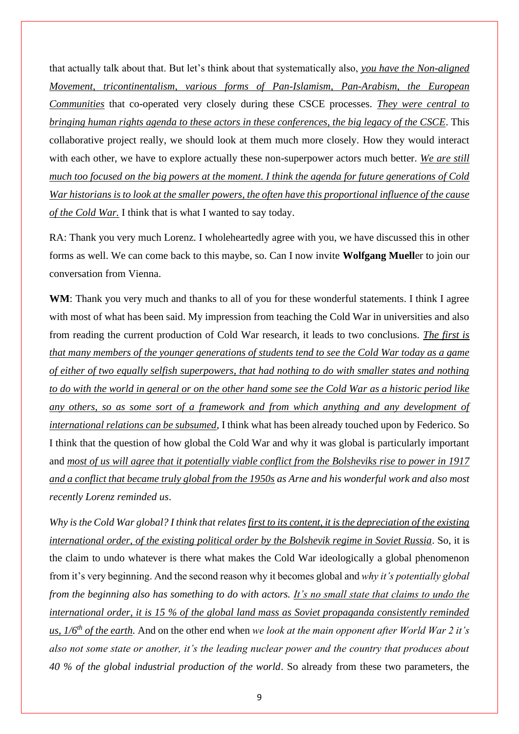that actually talk about that. But let's think about that systematically also, *you have the Non-aligned Movement, tricontinentalism, various forms of Pan-Islamism, Pan-Arabism, the European Communities* that co-operated very closely during these CSCE processes. *They were central to bringing human rights agenda to these actors in these conferences, the big legacy of the CSCE*. This collaborative project really, we should look at them much more closely. How they would interact with each other, we have to explore actually these non-superpower actors much better. *We are still much too focused on the big powers at the moment. I think the agenda for future generations of Cold War historians is to look at the smaller powers, the often have this proportional influence of the cause of the Cold War.* I think that is what I wanted to say today.

RA: Thank you very much Lorenz. I wholeheartedly agree with you, we have discussed this in other forms as well. We can come back to this maybe, so. Can I now invite **Wolfgang Muell**er to join our conversation from Vienna.

WM: Thank you very much and thanks to all of you for these wonderful statements. I think I agree with most of what has been said. My impression from teaching the Cold War in universities and also from reading the current production of Cold War research, it leads to two conclusions. *The first is that many members of the younger generations of students tend to see the Cold War today as a game of either of two equally selfish superpowers, that had nothing to do with smaller states and nothing to do with the world in general or on the other hand some see the Cold War as a historic period like any others, so as some sort of a framework and from which anything and any development of international relations can be subsumed*, I think what has been already touched upon by Federico. So I think that the question of how global the Cold War and why it was global is particularly important and *most of us will agree that it potentially viable conflict from the Bolsheviks rise to power in 1917 and a conflict that became truly global from the 1950s as Arne and his wonderful work and also most recently Lorenz reminded us*.

*Why is the Cold War global? I think that relates first to its content, it is the depreciation of the existing international order, of the existing political order by the Bolshevik regime in Soviet Russia*. So, it is the claim to undo whatever is there what makes the Cold War ideologically a global phenomenon from it's very beginning. And the second reason why it becomes global and *why it's potentially global from the beginning also has something to do with actors. It's no small state that claims to undo the international order, it is 15 % of the global land mass as Soviet propaganda consistently reminded us, 1/6th of the earth.* And on the other end when *we look at the main opponent after World War 2 it's also not some state or another, it's the leading nuclear power and the country that produces about 40 % of the global industrial production of the world*. So already from these two parameters, the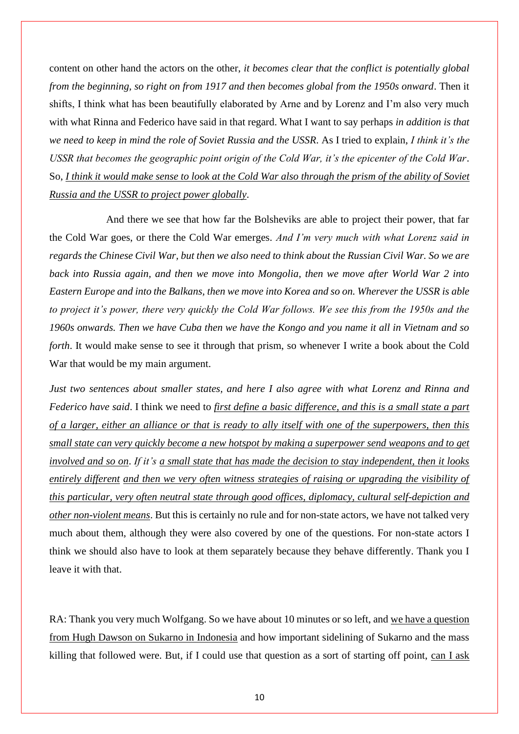content on other hand the actors on the other, *it becomes clear that the conflict is potentially global from the beginning, so right on from 1917 and then becomes global from the 1950s onward*. Then it shifts, I think what has been beautifully elaborated by Arne and by Lorenz and I'm also very much with what Rinna and Federico have said in that regard. What I want to say perhaps *in addition is that we need to keep in mind the role of Soviet Russia and the USSR*. As I tried to explain, *I think it's the USSR that becomes the geographic point origin of the Cold War, it's the epicenter of the Cold War*. So, *I think it would make sense to look at the Cold War also through the prism of the ability of Soviet Russia and the USSR to project power globally*.

And there we see that how far the Bolsheviks are able to project their power, that far the Cold War goes, or there the Cold War emerges. *And I'm very much with what Lorenz said in regards the Chinese Civil War, but then we also need to think about the Russian Civil War. So we are back into Russia again, and then we move into Mongolia, then we move after World War 2 into Eastern Europe and into the Balkans, then we move into Korea and so on. Wherever the USSR is able*  to project it's power, there very quickly the Cold War follows. We see this from the 1950s and the *1960s onwards. Then we have Cuba then we have the Kongo and you name it all in Vietnam and so forth*. It would make sense to see it through that prism, so whenever I write a book about the Cold War that would be my main argument.

*Just two sentences about smaller states, and here I also agree with what Lorenz and Rinna and Federico have said*. I think we need to *first define a basic difference, and this is a small state a part of a larger, either an alliance or that is ready to ally itself with one of the superpowers, then this small state can very quickly become a new hotspot by making a superpower send weapons and to get involved and so on*. *If it's a small state that has made the decision to stay independent, then it looks entirely different and then we very often witness strategies of raising or upgrading the visibility of this particular, very often neutral state through good offices, diplomacy, cultural self-depiction and other non-violent means*. But this is certainly no rule and for non-state actors, we have not talked very much about them, although they were also covered by one of the questions. For non-state actors I think we should also have to look at them separately because they behave differently. Thank you I leave it with that.

RA: Thank you very much Wolfgang. So we have about 10 minutes or so left, and we have a question from Hugh Dawson on Sukarno in Indonesia and how important sidelining of Sukarno and the mass killing that followed were. But, if I could use that question as a sort of starting off point, can I ask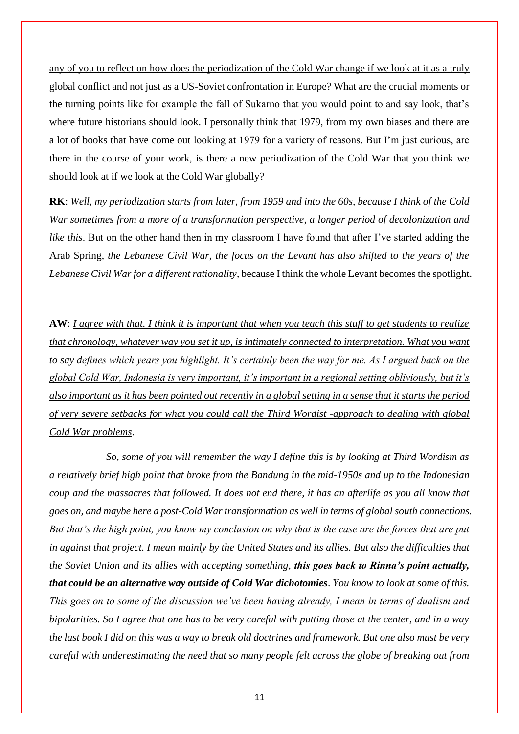any of you to reflect on how does the periodization of the Cold War change if we look at it as a truly global conflict and not just as a US-Soviet confrontation in Europe? What are the crucial moments or the turning points like for example the fall of Sukarno that you would point to and say look, that's where future historians should look. I personally think that 1979, from my own biases and there are a lot of books that have come out looking at 1979 for a variety of reasons. But I'm just curious, are there in the course of your work, is there a new periodization of the Cold War that you think we should look at if we look at the Cold War globally?

**RK**: *Well, my periodization starts from later, from 1959 and into the 60s, because I think of the Cold War sometimes from a more of a transformation perspective, a longer period of decolonization and like this*. But on the other hand then in my classroom I have found that after I've started adding the Arab Spring, *the Lebanese Civil War, the focus on the Levant has also shifted to the years of the Lebanese Civil War for a different rationality*, because I think the whole Levant becomes the spotlight.

**AW**: *I agree with that. I think it is important that when you teach this stuff to get students to realize that chronology, whatever way you set it up, is intimately connected to interpretation. What you want to say defines which years you highlight. It's certainly been the way for me. As I argued back on the global Cold War, Indonesia is very important, it's important in a regional setting obliviously, but it's also important as it has been pointed out recently in a global setting in a sense that it starts the period of very severe setbacks for what you could call the Third Wordist -approach to dealing with global Cold War problems*.

*So, some of you will remember the way I define this is by looking at Third Wordism as a relatively brief high point that broke from the Bandung in the mid-1950s and up to the Indonesian coup and the massacres that followed. It does not end there, it has an afterlife as you all know that goes on, and maybe here a post-Cold War transformation as well in terms of global south connections. But that's the high point, you know my conclusion on why that is the case are the forces that are put in against that project. I mean mainly by the United States and its allies. But also the difficulties that the Soviet Union and its allies with accepting something, this goes back to Rinna's point actually, that could be an alternative way outside of Cold War dichotomies*. *You know to look at some of this. This goes on to some of the discussion we've been having already, I mean in terms of dualism and bipolarities. So I agree that one has to be very careful with putting those at the center, and in a way the last book I did on this was a way to break old doctrines and framework. But one also must be very careful with underestimating the need that so many people felt across the globe of breaking out from*